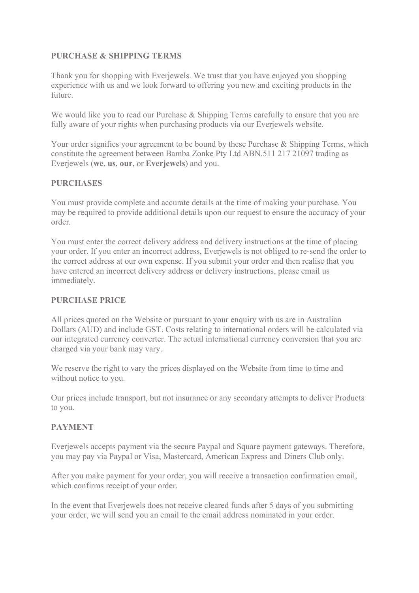# **PURCHASE & SHIPPING TERMS**

Thank you for shopping with Everjewels. We trust that you have enjoyed you shopping experience with us and we look forward to offering you new and exciting products in the future.

We would like you to read our Purchase & Shipping Terms carefully to ensure that you are fully aware of your rights when purchasing products via our Everjewels website.

Your order signifies your agreement to be bound by these Purchase & Shipping Terms, which constitute the agreement between Bamba Zonke Pty Ltd ABN.511 217 21097 trading as Everjewels (**we**, **us**, **our**, or **Everjewels**) and you.

# **PURCHASES**

You must provide complete and accurate details at the time of making your purchase. You may be required to provide additional details upon our request to ensure the accuracy of your order.

You must enter the correct delivery address and delivery instructions at the time of placing your order. If you enter an incorrect address, Everjewels is not obliged to re-send the order to the correct address at our own expense. If you submit your order and then realise that you have entered an incorrect delivery address or delivery instructions, please email us immediately.

# **PURCHASE PRICE**

All prices quoted on the Website or pursuant to your enquiry with us are in Australian Dollars (AUD) and include GST. Costs relating to international orders will be calculated via our integrated currency converter. The actual international currency conversion that you are charged via your bank may vary.

We reserve the right to vary the prices displayed on the Website from time to time and without notice to you.

Our prices include transport, but not insurance or any secondary attempts to deliver Products to you.

# **PAYMENT**

Everjewels accepts payment via the secure Paypal and Square payment gateways. Therefore, you may pay via Paypal or Visa, Mastercard, American Express and Diners Club only.

After you make payment for your order, you will receive a transaction confirmation email, which confirms receipt of your order.

In the event that Everjewels does not receive cleared funds after 5 days of you submitting your order, we will send you an email to the email address nominated in your order.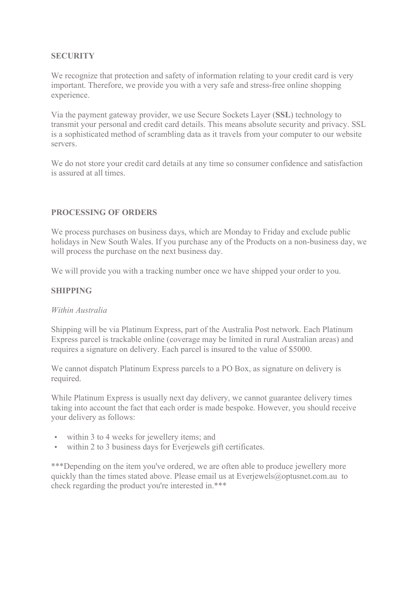# **SECURITY**

We recognize that protection and safety of information relating to your credit card is very important. Therefore, we provide you with a very safe and stress-free online shopping experience.

Via the payment gateway provider, we use Secure Sockets Layer (**SSL**) technology to transmit your personal and credit card details. This means absolute security and privacy. SSL is a sophisticated method of scrambling data as it travels from your computer to our website servers.

We do not store your credit card details at any time so consumer confidence and satisfaction is assured at all times.

# **PROCESSING OF ORDERS**

We process purchases on business days, which are Monday to Friday and exclude public holidays in New South Wales. If you purchase any of the Products on a non-business day, we will process the purchase on the next business day.

We will provide you with a tracking number once we have shipped your order to you.

#### **SHIPPING**

#### *Within Australia*

Shipping will be via Platinum Express, part of the Australia Post network. Each Platinum Express parcel is trackable online (coverage may be limited in rural Australian areas) and requires a signature on delivery. Each parcel is insured to the value of \$5000.

We cannot dispatch Platinum Express parcels to a PO Box, as signature on delivery is required.

While Platinum Express is usually next day delivery, we cannot guarantee delivery times taking into account the fact that each order is made bespoke. However, you should receive your delivery as follows:

- within 3 to 4 weeks for jewellery items; and
- within 2 to 3 business days for Everjewels gift certificates.

\*\*\*Depending on the item you've ordered, we are often able to produce jewellery more quickly than the times stated above. Please email us at Everjewels@optusnet.com.au to check regarding the product you're interested in.\*\*\*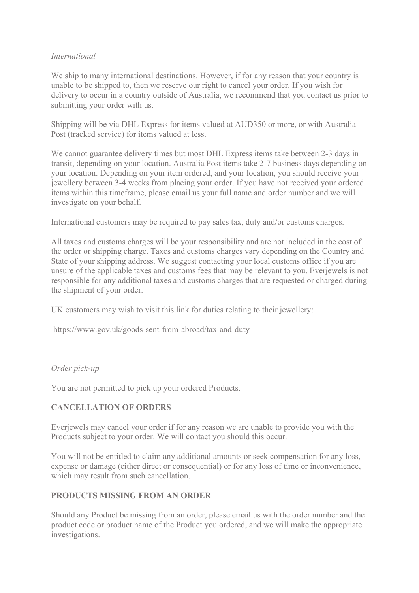## *International*

We ship to many international destinations. However, if for any reason that your country is unable to be shipped to, then we reserve our right to cancel your order. If you wish for delivery to occur in a country outside of Australia, we recommend that you contact us prior to submitting your order with us.

Shipping will be via DHL Express for items valued at AUD350 or more, or with Australia Post (tracked service) for items valued at less.

We cannot guarantee delivery times but most DHL Express items take between 2-3 days in transit, depending on your location. Australia Post items take 2-7 business days depending on your location. Depending on your item ordered, and your location, you should receive your jewellery between 3-4 weeks from placing your order. If you have not received your ordered items within this timeframe, please email us your full name and order number and we will investigate on your behalf.

International customers may be required to pay sales tax, duty and/or customs charges.

All taxes and customs charges will be your responsibility and are not included in the cost of the order or shipping charge. Taxes and customs charges vary depending on the Country and State of your shipping address. We suggest contacting your local customs office if you are unsure of the applicable taxes and customs fees that may be relevant to you. Everjewels is not responsible for any additional taxes and customs charges that are requested or charged during the shipment of your order.

UK customers may wish to visit this link for duties relating to their jewellery:

https://www.gov.uk/goods-sent-from-abroad/tax-and-duty

# *Order pick-up*

You are not permitted to pick up your ordered Products.

# **CANCELLATION OF ORDERS**

Everjewels may cancel your order if for any reason we are unable to provide you with the Products subject to your order. We will contact you should this occur.

You will not be entitled to claim any additional amounts or seek compensation for any loss, expense or damage (either direct or consequential) or for any loss of time or inconvenience, which may result from such cancellation.

# **PRODUCTS MISSING FROM AN ORDER**

Should any Product be missing from an order, please email us with the order number and the product code or product name of the Product you ordered, and we will make the appropriate investigations.